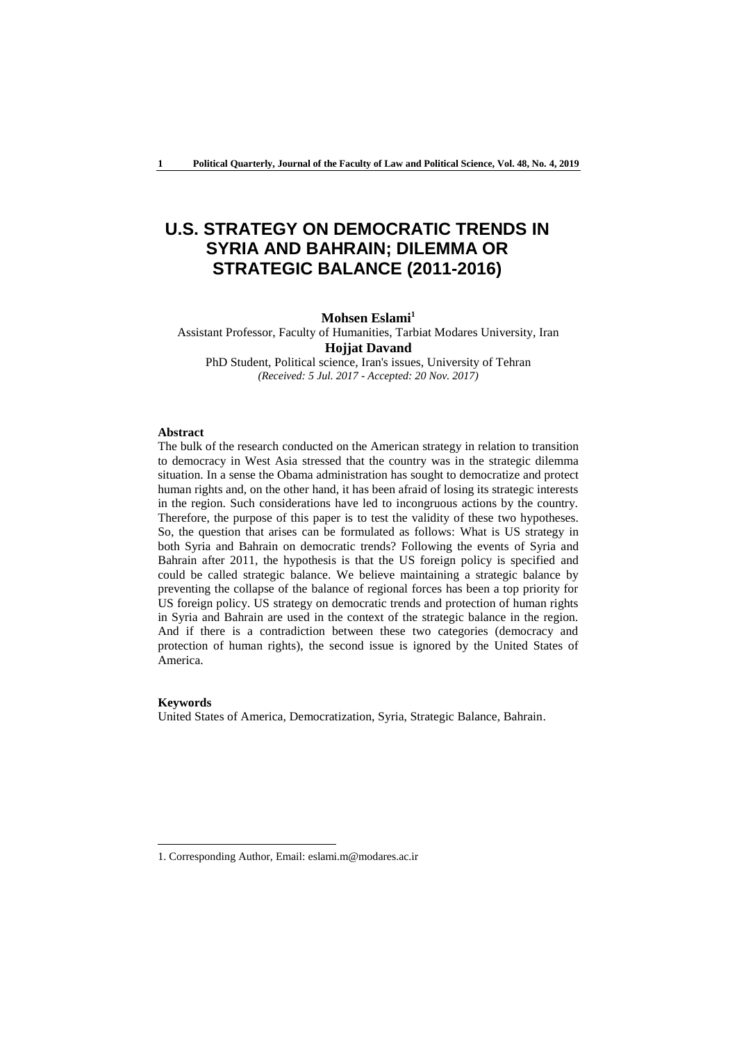# **U.S. STRATEGY ON DEMOCRATIC TRENDS IN SYRIA AND BAHRAIN; DILEMMA OR STRATEGIC BALANCE (2011-2016)**

## **Mohsen Eslami<sup>1</sup>**

Assistant Professor, Faculty of Humanities, Tarbiat Modares University, Iran **Hojjat Davand**

PhD Student, Political science, Iran's issues, University of Tehran *(Received: 5 Jul. 2017 - Accepted: 20 Nov. 2017)*

#### **Abstract**

The bulk of the research conducted on the American strategy in relation to transition to democracy in West Asia stressed that the country was in the strategic dilemma situation. In a sense the Obama administration has sought to democratize and protect human rights and, on the other hand, it has been afraid of losing its strategic interests in the region. Such considerations have led to incongruous actions by the country. Therefore, the purpose of this paper is to test the validity of these two hypotheses. So, the question that arises can be formulated as follows: What is US strategy in both Syria and Bahrain on democratic trends? Following the events of Syria and Bahrain after 2011, the hypothesis is that the US foreign policy is specified and could be called strategic balance. We believe maintaining a strategic balance by preventing the collapse of the balance of regional forces has been a top priority for US foreign policy. US strategy on democratic trends and protection of human rights in Syria and Bahrain are used in the context of the strategic balance in the region. And if there is a contradiction between these two categories (democracy and protection of human rights), the second issue is ignored by the United States of America.

## **Keywords**

-

United States of America, Democratization, Syria, Strategic Balance, Bahrain.

<sup>1.</sup> Corresponding Author, Email: eslami.m@modares.ac.ir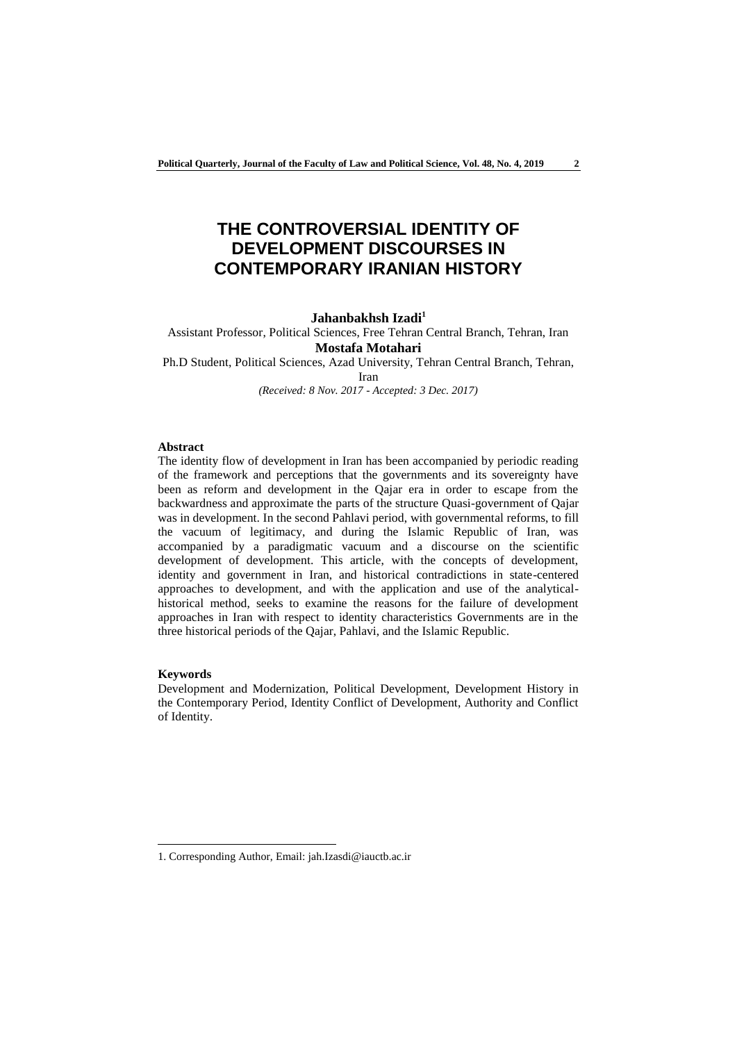# **THE CONTROVERSIAL IDENTITY OF DEVELOPMENT DISCOURSES IN CONTEMPORARY IRANIAN HISTORY**

## **Jahanbakhsh Izadi<sup>1</sup>**

Assistant Professor, Political Sciences, Free Tehran Central Branch, Tehran, Iran **Mostafa Motahari** Ph.D Student, Political Sciences, Azad University, Tehran Central Branch, Tehran,

Iran

*(Received: 8 Nov. 2017 - Accepted: 3 Dec. 2017)*

#### **Abstract**

The identity flow of development in Iran has been accompanied by periodic reading of the framework and perceptions that the governments and its sovereignty have been as reform and development in the Qajar era in order to escape from the backwardness and approximate the parts of the structure Quasi-government of Qajar was in development. In the second Pahlavi period, with governmental reforms, to fill the vacuum of legitimacy, and during the Islamic Republic of Iran, was accompanied by a paradigmatic vacuum and a discourse on the scientific development of development. This article, with the concepts of development, identity and government in Iran, and historical contradictions in state-centered approaches to development, and with the application and use of the analyticalhistorical method, seeks to examine the reasons for the failure of development approaches in Iran with respect to identity characteristics Governments are in the three historical periods of the Qajar, Pahlavi, and the Islamic Republic.

## **Keywords**

-

Development and Modernization, Political Development, Development History in the Contemporary Period, Identity Conflict of Development, Authority and Conflict of Identity.

<sup>1.</sup> Corresponding Author, Email: jah.Izasdi@iauctb.ac.ir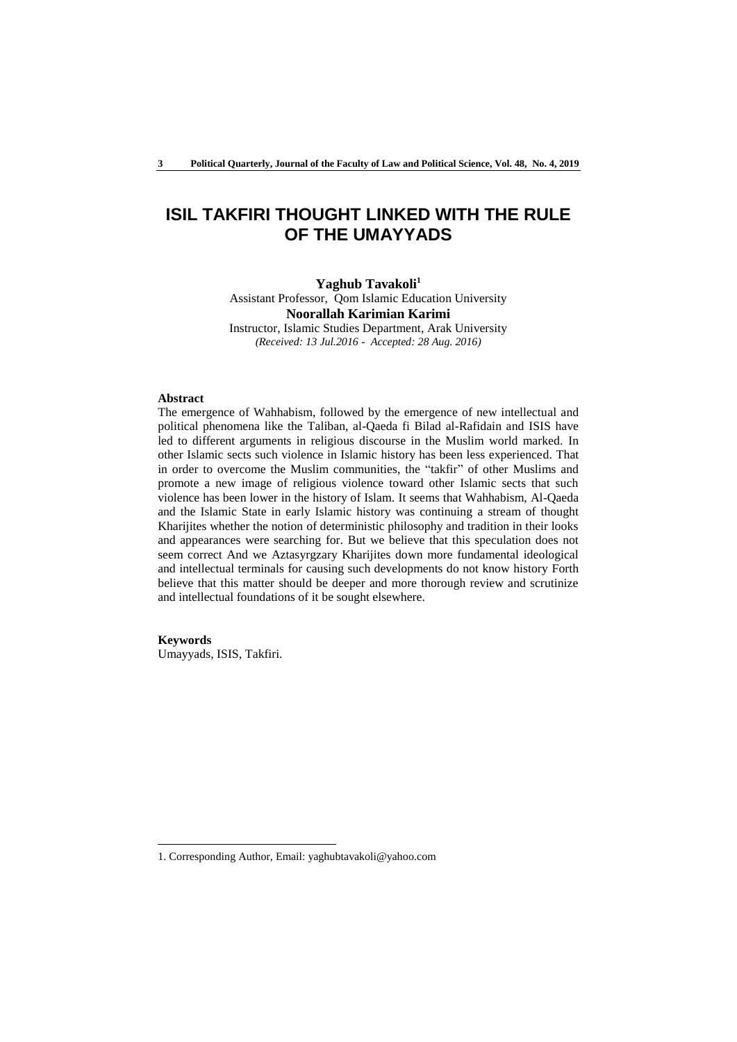## **ISIL TAKFIRI THOUGHT LINKED WITH THE RULE OF THE UMAYYADS**

**Yaghub Tavakoli<sup>1</sup>** Assistant Professor, Qom Islamic Education University **Noorallah Karimian Karimi** Instructor, Islamic Studies Department, Arak University *(Received: 13 Jul.2016 - Accepted: 28 Aug. 2016)*

#### **Abstract**

The emergence of Wahhabism, followed by the emergence of new intellectual and political phenomena like the Taliban, al-Qaeda fi Bilad al-Rafidain and ISIS have led to different arguments in religious discourse in the Muslim world marked. In other Islamic sects such violence in Islamic history has been less experienced. That in order to overcome the Muslim communities, the "takfir" of other Muslims and promote a new image of religious violence toward other Islamic sects that such violence has been lower in the history of Islam. It seems that Wahhabism, Al-Qaeda and the Islamic State in early Islamic history was continuing a stream of thought Kharijites whether the notion of deterministic philosophy and tradition in their looks and appearances were searching for. But we believe that this speculation does not seem correct And we Aztasyrgzary Kharijites down more fundamental ideological and intellectual terminals for causing such developments do not know history Forth believe that this matter should be deeper and more thorough review and scrutinize and intellectual foundations of it be sought elsewhere.

#### **Keywords**

-

Umayyads, ISIS, Takfiri.

<sup>1.</sup> Corresponding Author, Email: yaghubtavakoli@yahoo.com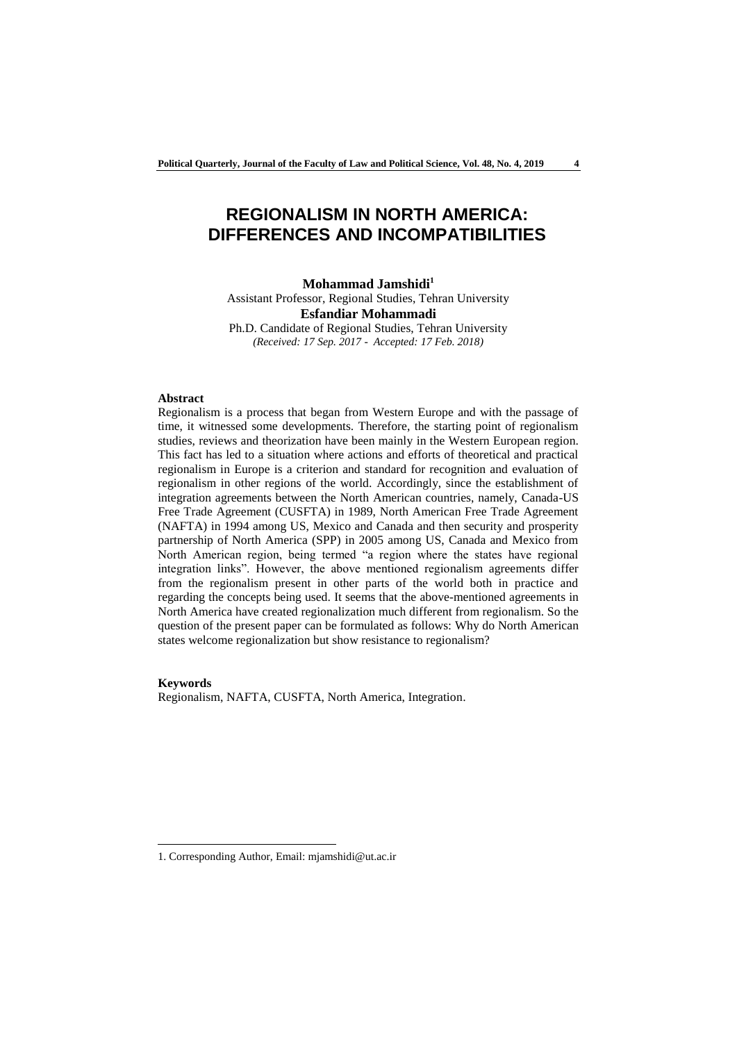## **REGIONALISM IN NORTH AMERICA: DIFFERENCES AND INCOMPATIBILITIES**

**Mohammad Jamshidi<sup>1</sup>** Assistant Professor, Regional Studies, Tehran University **Esfandiar Mohammadi** Ph.D. Candidate of Regional Studies, Tehran University

*(Received: 17 Sep. 2017 - Accepted: 17 Feb. 2018)*

## **Abstract**

Regionalism is a process that began from Western Europe and with the passage of time, it witnessed some developments. Therefore, the starting point of regionalism studies, reviews and theorization have been mainly in the Western European region. This fact has led to a situation where actions and efforts of theoretical and practical regionalism in Europe is a criterion and standard for recognition and evaluation of regionalism in other regions of the world. Accordingly, since the establishment of integration agreements between the North American countries, namely, Canada-US Free Trade Agreement (CUSFTA) in 1989, North American Free Trade Agreement (NAFTA) in 1994 among US, Mexico and Canada and then security and prosperity partnership of North America (SPP) in 2005 among US, Canada and Mexico from North American region, being termed "a region where the states have regional integration links". However, the above mentioned regionalism agreements differ from the regionalism present in other parts of the world both in practice and regarding the concepts being used. It seems that the above-mentioned agreements in North America have created regionalization much different from regionalism. So the question of the present paper can be formulated as follows: Why do North American states welcome regionalization but show resistance to regionalism?

#### **Keywords**

-

Regionalism, NAFTA, CUSFTA, North America, Integration.

<sup>1.</sup> Corresponding Author, Email: mjamshidi@ut.ac.ir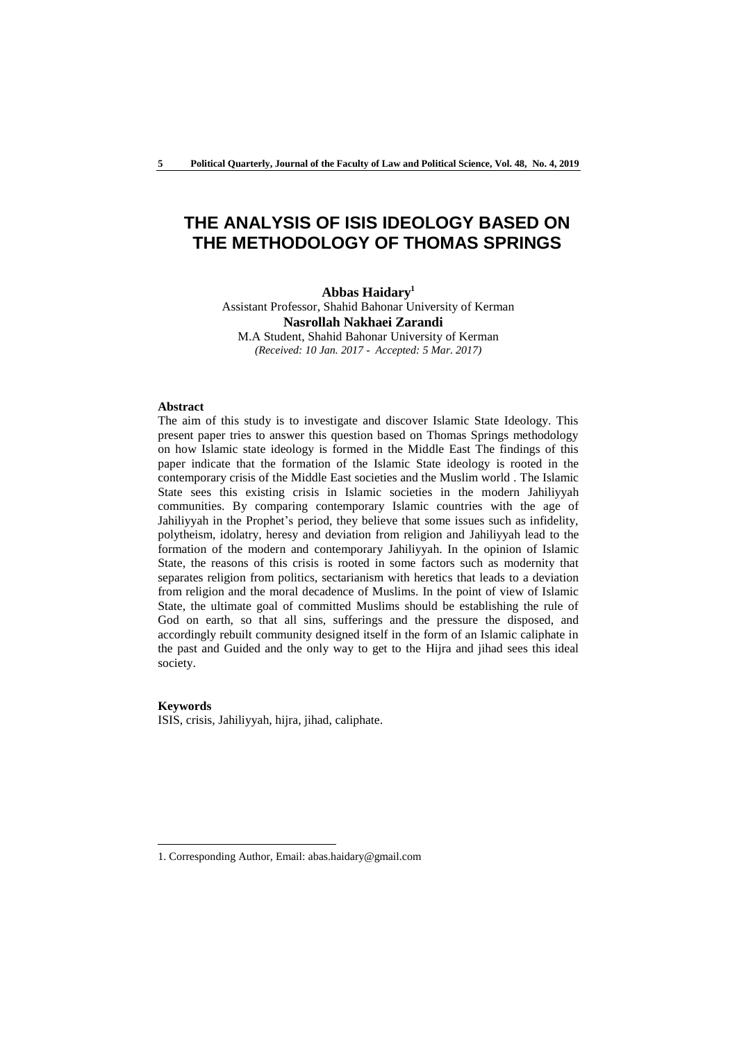## **THE ANALYSIS OF ISIS IDEOLOGY BASED ON THE METHODOLOGY OF THOMAS SPRINGS**

**Abbas Haidary<sup>1</sup>** Assistant Professor, Shahid Bahonar University of Kerman **Nasrollah Nakhaei Zarandi**  M.A Student, Shahid Bahonar University of Kerman *(Received: 10 Jan. 2017 - Accepted: 5 Mar. 2017)*

#### **Abstract**

The aim of this study is to investigate and discover Islamic State Ideology. This present paper tries to answer this question based on Thomas Springs methodology on how Islamic state ideology is formed in the Middle East The findings of this paper indicate that the formation of the Islamic State ideology is rooted in the contemporary crisis of the Middle East societies and the Muslim world . The Islamic State sees this existing crisis in Islamic societies in the modern Jahiliyyah communities. By comparing contemporary Islamic countries with the age of Jahiliyyah in the Prophet's period, they believe that some issues such as infidelity, polytheism, idolatry, heresy and deviation from religion and Jahiliyyah lead to the formation of the modern and contemporary Jahiliyyah. In the opinion of Islamic State, the reasons of this crisis is rooted in some factors such as modernity that separates religion from politics, sectarianism with heretics that leads to a deviation from religion and the moral decadence of Muslims. In the point of view of Islamic State, the ultimate goal of committed Muslims should be establishing the rule of God on earth, so that all sins, sufferings and the pressure the disposed, and accordingly rebuilt community designed itself in the form of an Islamic caliphate in the past and Guided and the only way to get to the Hijra and jihad sees this ideal society.

#### **Keywords**

-

ISIS, crisis, Jahiliyyah, hijra, jihad, caliphate.

<sup>1.</sup> Corresponding Author, Email: abas.haidary@gmail.com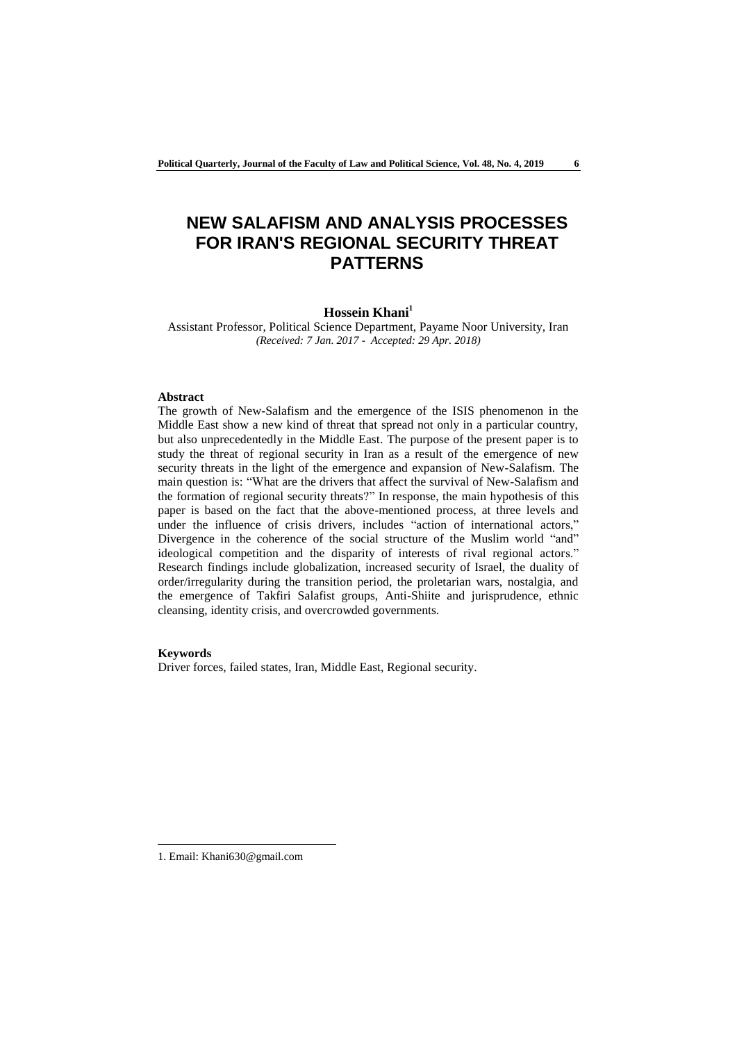# **NEW SALAFISM AND ANALYSIS PROCESSES FOR IRAN'S REGIONAL SECURITY THREAT PATTERNS**

### **Hossein Khani<sup>1</sup>**

Assistant Professor, Political Science Department, Payame Noor University, Iran *(Received: 7 Jan. 2017 - Accepted: 29 Apr. 2018)*

#### **Abstract**

The growth of New-Salafism and the emergence of the ISIS phenomenon in the Middle East show a new kind of threat that spread not only in a particular country, but also unprecedentedly in the Middle East. The purpose of the present paper is to study the threat of regional security in Iran as a result of the emergence of new security threats in the light of the emergence and expansion of New-Salafism. The main question is: "What are the drivers that affect the survival of New-Salafism and the formation of regional security threats?" In response, the main hypothesis of this paper is based on the fact that the above-mentioned process, at three levels and under the influence of crisis drivers, includes "action of international actors," Divergence in the coherence of the social structure of the Muslim world "and" ideological competition and the disparity of interests of rival regional actors." Research findings include globalization, increased security of Israel, the duality of order/irregularity during the transition period, the proletarian wars, nostalgia, and the emergence of Takfiri Salafist groups, Anti-Shiite and jurisprudence, ethnic cleansing, identity crisis, and overcrowded governments.

#### **Keywords**

-

Driver forces, failed states, Iran, Middle East, Regional security.

<sup>1.</sup> Email: Khani630@gmail.com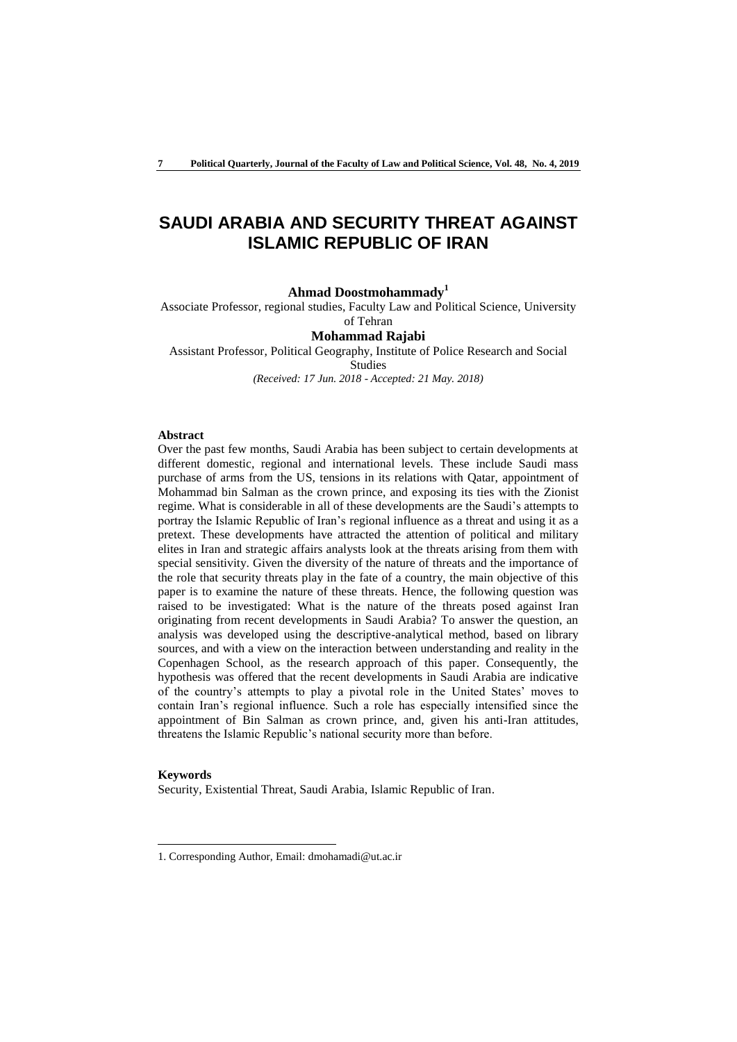## **SAUDI ARABIA AND SECURITY THREAT AGAINST ISLAMIC REPUBLIC OF IRAN**

### **Ahmad Doostmohammady<sup>1</sup>**

Associate Professor, regional studies, Faculty Law and Political Science, University

### of Tehran **Mohammad Rajabi**

Assistant Professor, Political Geography, Institute of Police Research and Social Studies *(Received: 17 Jun. 2018 - Accepted: 21 May. 2018)*

#### **Abstract**

Over the past few months, Saudi Arabia has been subject to certain developments at different domestic, regional and international levels. These include Saudi mass purchase of arms from the US, tensions in its relations with Qatar, appointment of Mohammad bin Salman as the crown prince, and exposing its ties with the Zionist regime. What is considerable in all of these developments are the Saudi's attempts to portray the Islamic Republic of Iran's regional influence as a threat and using it as a pretext. These developments have attracted the attention of political and military elites in Iran and strategic affairs analysts look at the threats arising from them with special sensitivity. Given the diversity of the nature of threats and the importance of the role that security threats play in the fate of a country, the main objective of this paper is to examine the nature of these threats. Hence, the following question was raised to be investigated: What is the nature of the threats posed against Iran originating from recent developments in Saudi Arabia? To answer the question, an analysis was developed using the descriptive-analytical method, based on library sources, and with a view on the interaction between understanding and reality in the Copenhagen School, as the research approach of this paper. Consequently, the hypothesis was offered that the recent developments in Saudi Arabia are indicative of the country's attempts to play a pivotal role in the United States' moves to contain Iran's regional influence. Such a role has especially intensified since the appointment of Bin Salman as crown prince, and, given his anti-Iran attitudes, threatens the Islamic Republic's national security more than before.

#### **Keywords**

-

Security, Existential Threat, Saudi Arabia, Islamic Republic of Iran.

<sup>1.</sup> Corresponding Author, Email: dmohamadi@ut.ac.ir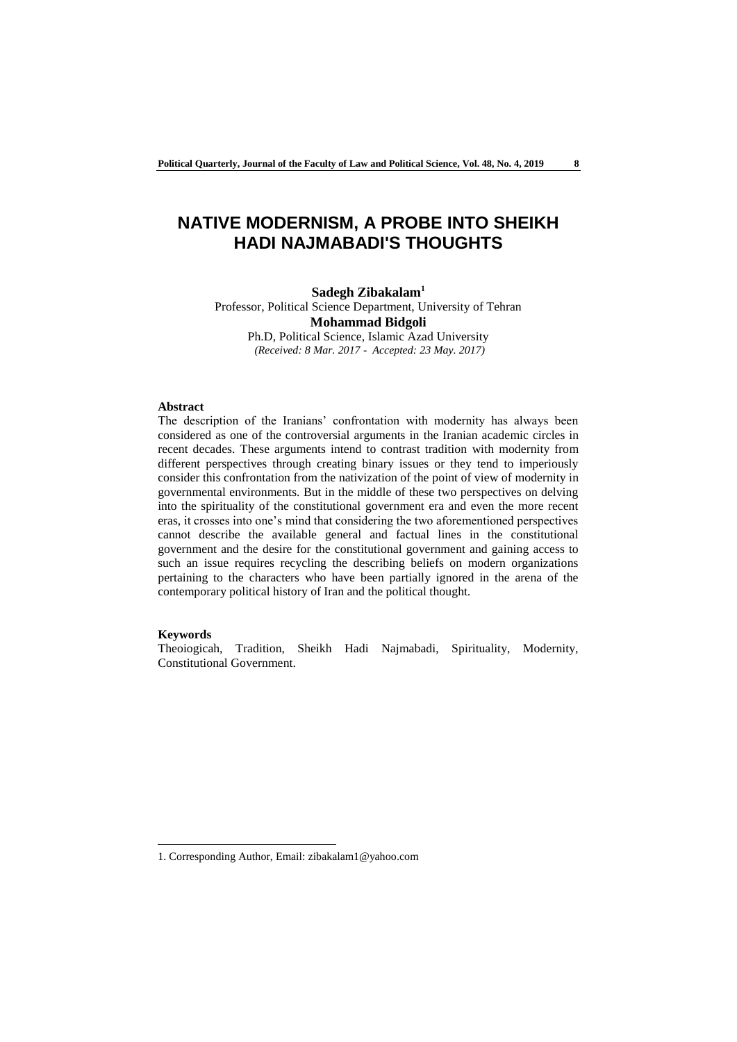## **NATIVE MODERNISM, A PROBE INTO SHEIKH HADI NAJMABADI'S THOUGHTS**

## **Sadegh Zibakalam<sup>1</sup>**

Professor, Political Science Department, University of Tehran **Mohammad Bidgoli**

Ph.D, Political Science, Islamic Azad University *(Received: 8 Mar. 2017 - Accepted: 23 May. 2017)*

#### **Abstract**

The description of the Iranians' confrontation with modernity has always been considered as one of the controversial arguments in the Iranian academic circles in recent decades. These arguments intend to contrast tradition with modernity from different perspectives through creating binary issues or they tend to imperiously consider this confrontation from the nativization of the point of view of modernity in governmental environments. But in the middle of these two perspectives on delving into the spirituality of the constitutional government era and even the more recent eras, it crosses into one's mind that considering the two aforementioned perspectives cannot describe the available general and factual lines in the constitutional government and the desire for the constitutional government and gaining access to such an issue requires recycling the describing beliefs on modern organizations pertaining to the characters who have been partially ignored in the arena of the contemporary political history of Iran and the political thought.

#### **Keywords**

-

Theoiogicah, Tradition, Sheikh Hadi Najmabadi, Spirituality, Modernity, Constitutional Government.

<sup>1.</sup> Corresponding Author, Email: zibakalam1@yahoo.com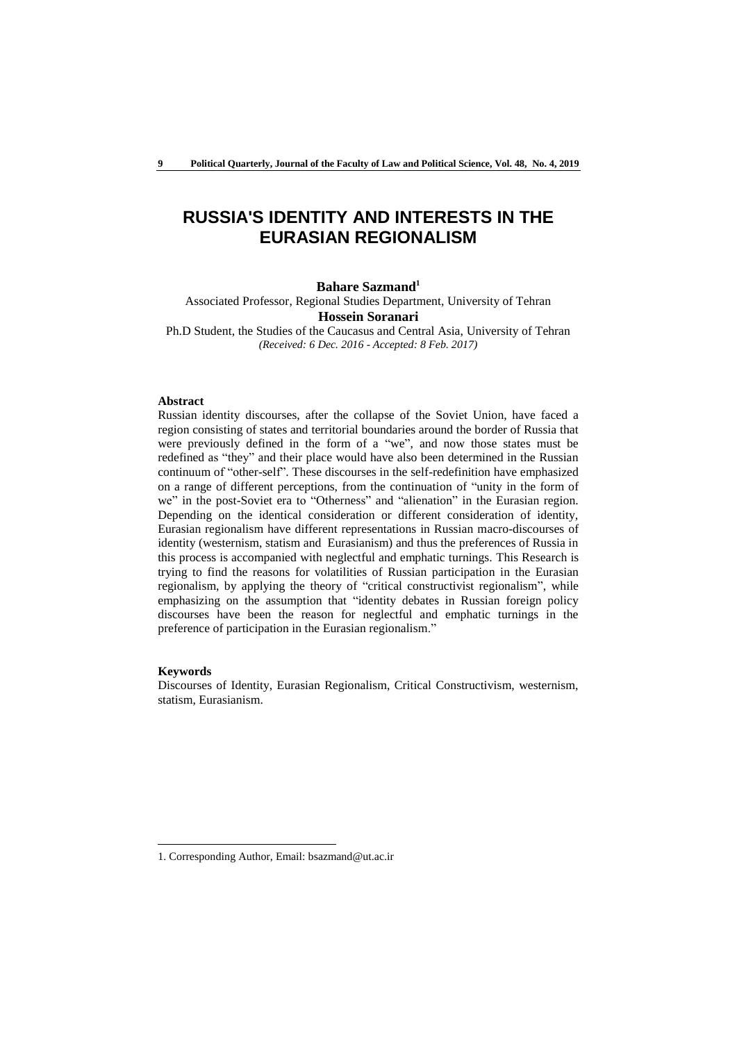## **RUSSIA'S IDENTITY AND INTERESTS IN THE EURASIAN REGIONALISM**

### **Bahare Sazmand<sup>1</sup>**

Associated Professor, Regional Studies Department, University of Tehran **Hossein Soranari**

Ph.D Student, the Studies of the Caucasus and Central Asia, University of Tehran *(Received: 6 Dec. 2016 - Accepted: 8 Feb. 2017)*

## **Abstract**

Russian identity discourses, after the collapse of the Soviet Union, have faced a region consisting of states and territorial boundaries around the border of Russia that were previously defined in the form of a "we", and now those states must be redefined as "they" and their place would have also been determined in the Russian continuum of "other-self". These discourses in the self-redefinition have emphasized on a range of different perceptions, from the continuation of "unity in the form of we" in the post-Soviet era to "Otherness" and "alienation" in the Eurasian region. Depending on the identical consideration or different consideration of identity, Eurasian regionalism have different representations in Russian macro-discourses of identity (westernism, statism and Eurasianism) and thus the preferences of Russia in this process is accompanied with neglectful and emphatic turnings. This Research is trying to find the reasons for volatilities of Russian participation in the Eurasian regionalism, by applying the theory of "critical constructivist regionalism", while emphasizing on the assumption that "identity debates in Russian foreign policy discourses have been the reason for neglectful and emphatic turnings in the preference of participation in the Eurasian regionalism."

#### **Keywords**

-

Discourses of Identity, Eurasian Regionalism, Critical Constructivism, westernism, statism, Eurasianism.

<sup>1.</sup> Corresponding Author, Email: bsazmand@ut.ac.ir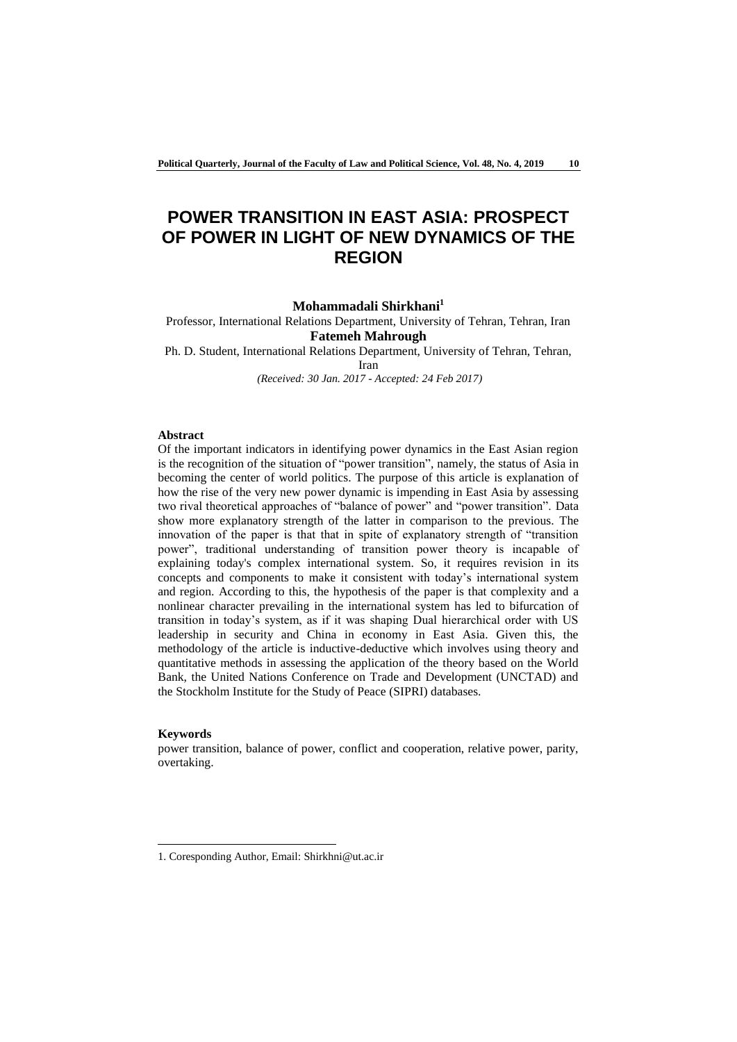# **POWER TRANSITION IN EAST ASIA: PROSPECT OF POWER IN LIGHT OF NEW DYNAMICS OF THE REGION**

## **Mohammadali Shirkhani<sup>1</sup>**

Professor, International Relations Department, University of Tehran, Tehran, Iran **Fatemeh Mahrough**

Ph. D. Student, International Relations Department, University of Tehran, Tehran, Iran

*(Received: 30 Jan. 2017 - Accepted: 24 Feb 2017)*

#### **Abstract**

Of the important indicators in identifying power dynamics in the East Asian region is the recognition of the situation of "power transition", namely, the status of Asia in becoming the center of world politics. The purpose of this article is explanation of how the rise of the very new power dynamic is impending in East Asia by assessing two rival theoretical approaches of "balance of power" and "power transition". Data show more explanatory strength of the latter in comparison to the previous. The innovation of the paper is that that in spite of explanatory strength of "transition power", traditional understanding of transition power theory is incapable of explaining today's complex international system. So, it requires revision in its concepts and components to make it consistent with today's international system and region. According to this, the hypothesis of the paper is that complexity and a nonlinear character prevailing in the international system has led to bifurcation of transition in today's system, as if it was shaping Dual hierarchical order with US leadership in security and China in economy in East Asia. Given this, the methodology of the article is inductive-deductive which involves using theory and quantitative methods in assessing the application of the theory based on the World Bank, the United Nations Conference on Trade and Development (UNCTAD) and the Stockholm Institute for the Study of Peace (SIPRI) databases.

#### **Keywords**

-

power transition, balance of power, conflict and cooperation, relative power, parity, overtaking.

<sup>1.</sup> Coresponding Author, Email: Shirkhni@ut.ac.ir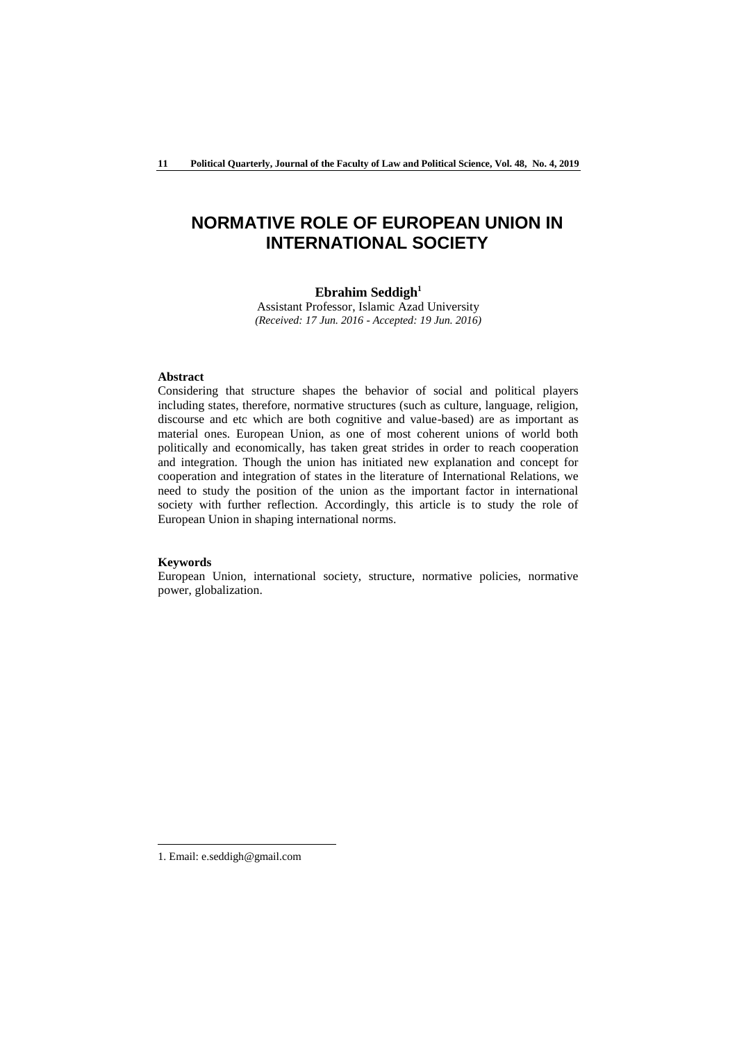## **NORMATIVE ROLE OF EUROPEAN UNION IN INTERNATIONAL SOCIETY**

## **Ebrahim Seddigh<sup>1</sup>**

Assistant Professor, Islamic Azad University *(Received: 17 Jun. 2016 - Accepted: 19 Jun. 2016)*

## **Abstract**

Considering that structure shapes the behavior of social and political players including states, therefore, normative structures (such as culture, language, religion, discourse and etc which are both cognitive and value-based) are as important as material ones. European Union, as one of most coherent unions of world both politically and economically, has taken great strides in order to reach cooperation and integration. Though the union has initiated new explanation and concept for cooperation and integration of states in the literature of International Relations, we need to study the position of the union as the important factor in international society with further reflection. Accordingly, this article is to study the role of European Union in shaping international norms.

#### **Keywords**

European Union, international society, structure, normative policies, normative power, globalization.

-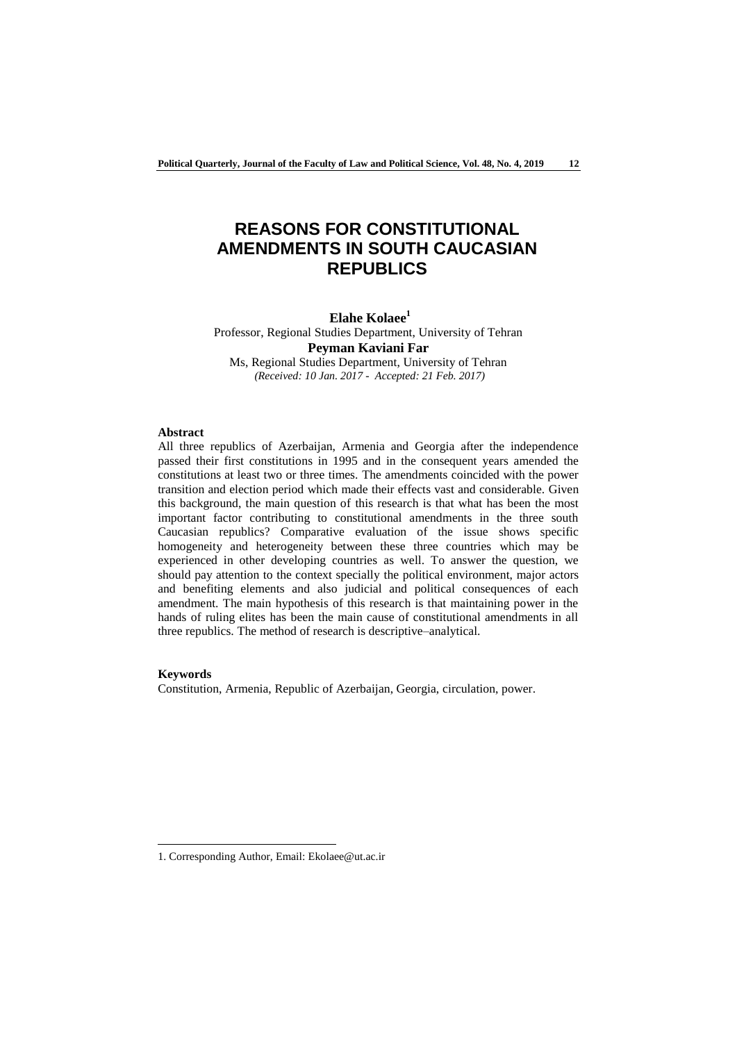# **REASONS FOR CONSTITUTIONAL AMENDMENTS IN SOUTH CAUCASIAN REPUBLICS**

## **Elahe Kolaee<sup>1</sup>**

Professor, Regional Studies Department, University of Tehran **Peyman Kaviani Far** Ms, Regional Studies Department, University of Tehran

*(Received: 10 Jan. 2017 - Accepted: 21 Feb. 2017)*

#### **Abstract**

All three republics of Azerbaijan, Armenia and Georgia after the independence passed their first constitutions in 1995 and in the consequent years amended the constitutions at least two or three times. The amendments coincided with the power transition and election period which made their effects vast and considerable. Given this background, the main question of this research is that what has been the most important factor contributing to constitutional amendments in the three south Caucasian republics? Comparative evaluation of the issue shows specific homogeneity and heterogeneity between these three countries which may be experienced in other developing countries as well. To answer the question, we should pay attention to the context specially the political environment, major actors and benefiting elements and also judicial and political consequences of each amendment. The main hypothesis of this research is that maintaining power in the hands of ruling elites has been the main cause of constitutional amendments in all three republics. The method of research is descriptive–analytical.

## **Keywords**

-

Constitution, Armenia, Republic of Azerbaijan, Georgia, circulation, power.

<sup>1.</sup> Corresponding Author, Email: Ekolaee@ut.ac.ir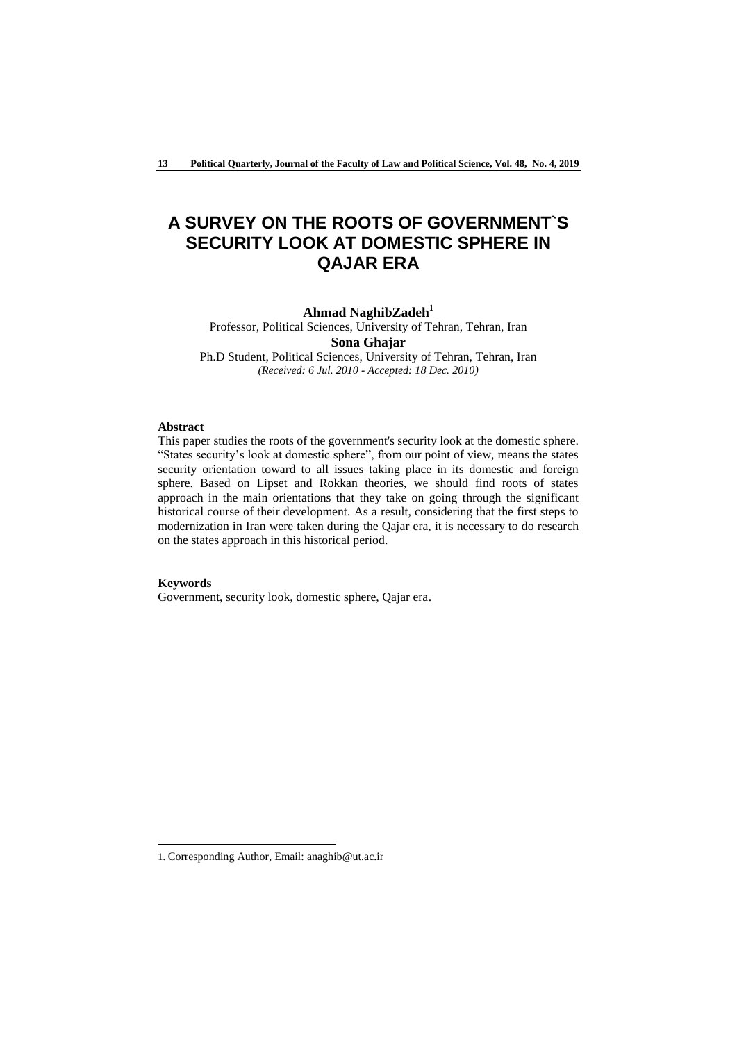# **A SURVEY ON THE ROOTS OF GOVERNMENT`S SECURITY LOOK AT DOMESTIC SPHERE IN QAJAR ERA**

## **Ahmad NaghibZadeh<sup>1</sup>**

Professor, Political Sciences, University of Tehran, Tehran, Iran **Sona Ghajar**

Ph.D Student, Political Sciences, University of Tehran, Tehran, Iran *(Received: 6 Jul. 2010 - Accepted: 18 Dec. 2010)*

#### **Abstract**

This paper studies the roots of the government's security look at the domestic sphere. "States security's look at domestic sphere", from our point of view, means the states security orientation toward to all issues taking place in its domestic and foreign sphere. Based on Lipset and Rokkan theories, we should find roots of states approach in the main orientations that they take on going through the significant historical course of their development. As a result, considering that the first steps to modernization in Iran were taken during the Qajar era, it is necessary to do research on the states approach in this historical period.

#### **Keywords**

-

Government, security look, domestic sphere, Qajar era.

<sup>1.</sup> Corresponding Author, Email: anaghib@ut.ac.ir